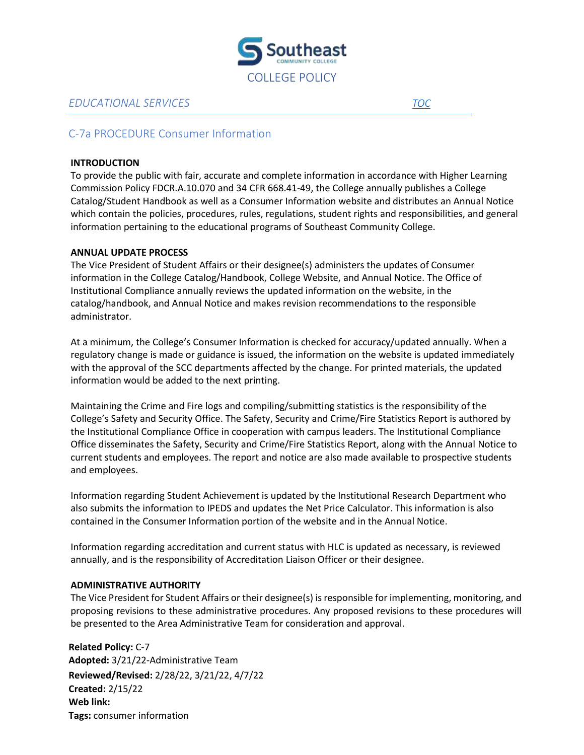

## *EDUCATIONAL SERVICES [TOC](#page-0-0)*

# <span id="page-0-0"></span>C-7a PROCEDURE Consumer Information

## **INTRODUCTION**

To provide the public with fair, accurate and complete information in accordance with Higher Learning Commission Policy FDCR.A.10.070 and 34 CFR 668.41-49, the College annually publishes a College Catalog/Student Handbook as well as a Consumer Information website and distributes an Annual Notice which contain the policies, procedures, rules, regulations, student rights and responsibilities, and general information pertaining to the educational programs of Southeast Community College.

#### **ANNUAL UPDATE PROCESS**

The Vice President of Student Affairs or their designee(s) administers the updates of Consumer information in the College Catalog/Handbook, College Website, and Annual Notice. The Office of Institutional Compliance annually reviews the updated information on the website, in the catalog/handbook, and Annual Notice and makes revision recommendations to the responsible administrator.

At a minimum, the College's Consumer Information is checked for accuracy/updated annually. When a regulatory change is made or guidance is issued, the information on the website is updated immediately with the approval of the SCC departments affected by the change. For printed materials, the updated information would be added to the next printing.

Maintaining the Crime and Fire logs and compiling/submitting statistics is the responsibility of the College's Safety and Security Office. The Safety, Security and Crime/Fire Statistics Report is authored by the Institutional Compliance Office in cooperation with campus leaders. The Institutional Compliance Office disseminates the Safety, Security and Crime/Fire Statistics Report, along with the Annual Notice to current students and employees. The report and notice are also made available to prospective students and employees.

Information regarding Student Achievement is updated by the Institutional Research Department who also submits the information to IPEDS and updates the Net Price Calculator. This information is also contained in the Consumer Information portion of the website and in the Annual Notice.

Information regarding accreditation and current status with HLC is updated as necessary, is reviewed annually, and is the responsibility of Accreditation Liaison Officer or their designee.

## **ADMINISTRATIVE AUTHORITY**

The Vice President for Student Affairs or their designee(s) is responsible for implementing, monitoring, and proposing revisions to these administrative procedures. Any proposed revisions to these procedures will be presented to the Area Administrative Team for consideration and approval.

**Related Policy:** C-7 **Adopted:** 3/21/22-Administrative Team **Reviewed/Revised:** 2/28/22, 3/21/22, 4/7/22 **Created:** 2/15/22 **Web link: Tags:** consumer information